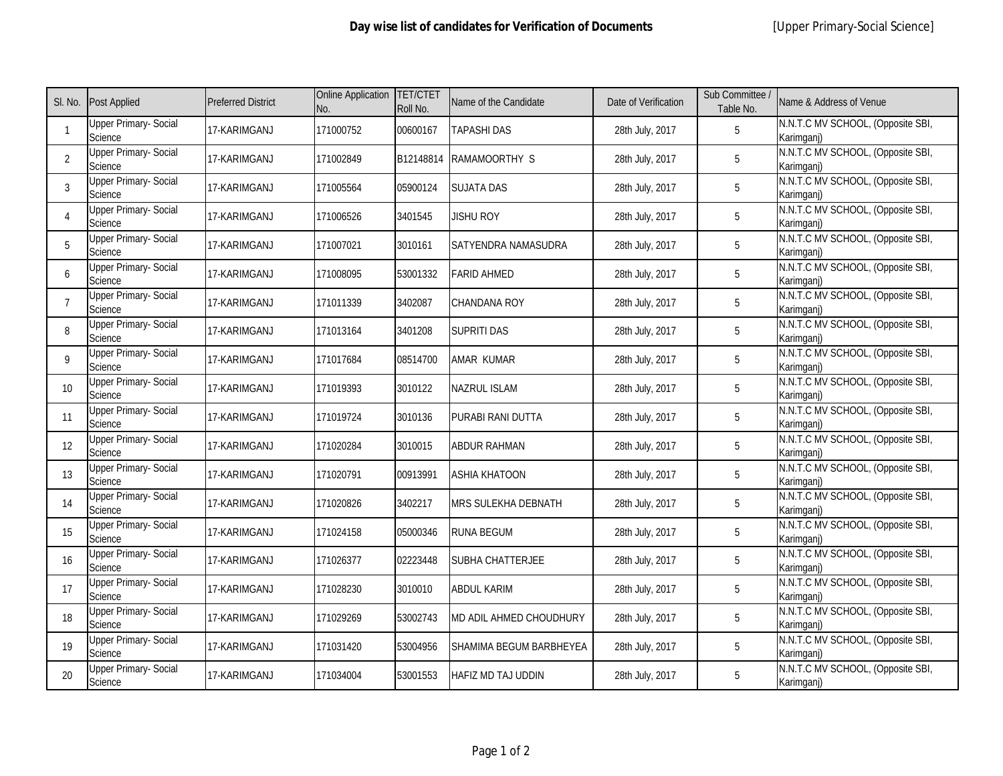| SI. No.                  | <b>Post Applied</b>                            | <b>Preferred District</b> | <b>Online Application</b><br>No. | <b>TET/CTET</b><br>Roll No. | Name of the Candidate      | Date of Verification | Sub Committee /<br>Table No. | Name & Address of Venue                         |
|--------------------------|------------------------------------------------|---------------------------|----------------------------------|-----------------------------|----------------------------|----------------------|------------------------------|-------------------------------------------------|
|                          | <b>Upper Primary- Social</b><br>Science        | 17-KARIMGANJ              | 171000752                        | 00600167                    | TAPASHI DAS                | 28th July, 2017      | 5                            | N.N.T.C MV SCHOOL, (Opposite SBI,<br>Karimganj) |
| 2                        | <b>Upper Primary- Social</b><br>Science        | 17-KARIMGANJ              | 171002849                        | B12148814                   | RAMAMOORTHY S              | 28th July, 2017      | 5                            | N.N.T.C MV SCHOOL, (Opposite SBI,<br>Karimganj) |
| 3                        | <b>Upper Primary-Social</b><br>Science         | 17-KARIMGANJ              | 171005564                        | 05900124                    | <b>SUJATA DAS</b>          | 28th July, 2017      | 5                            | N.N.T.C MV SCHOOL, (Opposite SBI,<br>Karimganj) |
| $\overline{\mathcal{A}}$ | <b>Upper Primary- Social</b><br>Science        | 17-KARIMGANJ              | 171006526                        | 3401545                     | jishu Roy                  | 28th July, 2017      | 5                            | N.N.T.C MV SCHOOL, (Opposite SBI,<br>Karimganj) |
| 5                        | <b>Upper Primary-Social</b><br>Science         | 17-KARIMGANJ              | 171007021                        | 3010161                     | SATYENDRA NAMASUDRA        | 28th July, 2017      | 5                            | N.N.T.C MV SCHOOL, (Opposite SBI,<br>Karimganj) |
| 6                        | <b>Upper Primary-Social</b><br>Science         | 17-KARIMGANJ              | 171008095                        | 53001332                    | <b>FARID AHMED</b>         | 28th July, 2017      | 5                            | N.N.T.C MV SCHOOL, (Opposite SBI,<br>Karimganj) |
| $\overline{7}$           | <b>Upper Primary- Social</b><br>Science        | 17-KARIMGANJ              | 171011339                        | 3402087                     | <b>CHANDANA ROY</b>        | 28th July, 2017      | 5                            | N.N.T.C MV SCHOOL, (Opposite SBI,<br>Karimganj) |
| 8                        | <b>Upper Primary-Social</b><br>Science         | 17-KARIMGANJ              | 171013164                        | 3401208                     | <b>SUPRITI DAS</b>         | 28th July, 2017      | 5                            | N.N.T.C MV SCHOOL, (Opposite SBI,<br>Karimgani) |
| $\mathsf{Q}$             | <b>Upper Primary- Social</b><br>Science        | 17-KARIMGANJ              | 171017684                        | 08514700                    | AMAR KUMAR                 | 28th July, 2017      | 5                            | N.N.T.C MV SCHOOL, (Opposite SBI,<br>Karimganj) |
| 10 <sup>1</sup>          | <b>Upper Primary- Social</b><br>Science        | 17-KARIMGANJ              | 171019393                        | 3010122                     | <b>NAZRUL ISLAM</b>        | 28th July, 2017      | 5                            | N.N.T.C MV SCHOOL, (Opposite SBI,<br>Karimganj) |
| 11                       | <b>Upper Primary- Social</b><br>Science        | 17-KARIMGANJ              | 171019724                        | 3010136                     | PURABI RANI DUTTA          | 28th July, 2017      | 5                            | N.N.T.C MV SCHOOL, (Opposite SBI,<br>Karimganj) |
| 12                       | <b>Upper Primary- Social</b><br>Science        | 17-KARIMGANJ              | 171020284                        | 3010015                     | <b>ABDUR RAHMAN</b>        | 28th July, 2017      | 5                            | N.N.T.C MV SCHOOL, (Opposite SBI,<br>Karimganj) |
| 13                       | <b>Upper Primary- Social</b><br>Science        | 17-KARIMGANJ              | 171020791                        | 00913991                    | <b>ASHIA KHATOON</b>       | 28th July, 2017      | 5                            | N.N.T.C MV SCHOOL, (Opposite SBI,<br>Karimgani) |
| 14                       | <b>Upper Primary-Social</b><br><b>Science</b>  | 17-KARIMGANJ              | 171020826                        | 3402217                     | <b>MRS SULEKHA DEBNATH</b> | 28th July, 2017      | 5                            | N.N.T.C MV SCHOOL, (Opposite SBI,<br>Karimgani) |
| 15                       | <b>Upper Primary-Social</b><br>Science         | 17-KARIMGANJ              | 171024158                        | 05000346                    | <b>RUNA BEGUM</b>          | 28th July, 2017      | 5                            | N.N.T.C MV SCHOOL, (Opposite SBI,<br>Karimgani) |
| 16                       | <b>Upper Primary- Social</b><br>Science        | 17-KARIMGANJ              | 171026377                        | 02223448                    | <b>SUBHA CHATTERJEE</b>    | 28th July, 2017      | 5                            | N.N.T.C MV SCHOOL, (Opposite SBI,<br>Karimgani) |
| 17                       | <b>Upper Primary- Social</b><br>Science        | 17-KARIMGANJ              | 171028230                        | 3010010                     | <b>ABDUL KARIM</b>         | 28th July, 2017      | $5\phantom{.0}$              | N.N.T.C MV SCHOOL, (Opposite SBI,<br>Karimgani) |
| 18                       | <b>Upper Primary- Social</b><br><b>Science</b> | 17-KARIMGANJ              | 171029269                        | 53002743                    | MD ADIL AHMED CHOUDHURY    | 28th July, 2017      | $5\phantom{.0}$              | N.N.T.C MV SCHOOL, (Opposite SBI,<br>Karimganj) |
| 19                       | <b>Upper Primary- Social</b><br>Science        | 17-KARIMGANJ              | 171031420                        | 53004956                    | SHAMIMA BEGUM BARBHEYEA    | 28th July, 2017      | $5\phantom{.0}$              | N.N.T.C MV SCHOOL, (Opposite SBI,<br>Karimganj) |
| 20                       | <b>Upper Primary- Social</b><br>Science        | 17-KARIMGANJ              | 171034004                        | 53001553                    | <b>HAFIZ MD TAJ UDDIN</b>  | 28th July, 2017      | $5\phantom{.0}$              | N.N.T.C MV SCHOOL, (Opposite SBI,<br>Karimganj) |